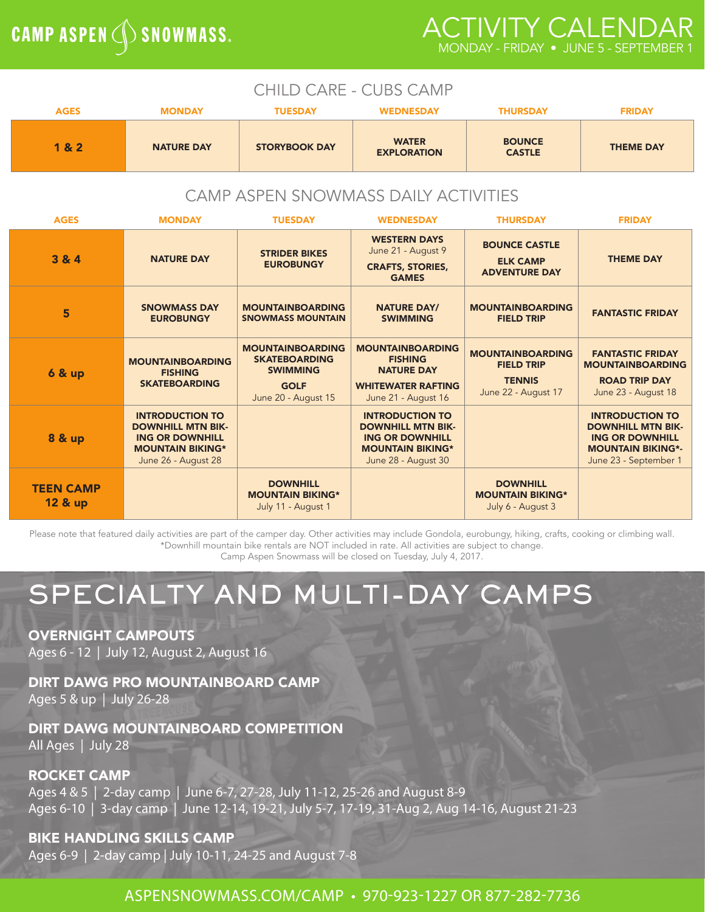# **CAMP ASPEN (SK) SNOWMASS.**

# ACTIVITY CALENDAR MONDAY - FRIDAY • JUNE 5 - SEPTEMBER 1

| <b>CHILD CARE - CUBS CAMP</b>          |                                                                                                                                |                                                                                                          |                                                                                                                                |                                                                                      |                                                                                                                                   |
|----------------------------------------|--------------------------------------------------------------------------------------------------------------------------------|----------------------------------------------------------------------------------------------------------|--------------------------------------------------------------------------------------------------------------------------------|--------------------------------------------------------------------------------------|-----------------------------------------------------------------------------------------------------------------------------------|
| <b>AGES</b>                            | <b>MONDAY</b>                                                                                                                  | <b>TUESDAY</b>                                                                                           | <b>WEDNESDAY</b>                                                                                                               | <b>THURSDAY</b>                                                                      | <b>FRIDAY</b>                                                                                                                     |
| 1 & 2                                  | <b>NATURE DAY</b>                                                                                                              | <b>STORYBOOK DAY</b>                                                                                     | <b>WATER</b><br><b>EXPLORATION</b>                                                                                             | <b>BOUNCE</b><br><b>CASTLE</b>                                                       | <b>THEME DAY</b>                                                                                                                  |
| CAMP ASPEN SNOWMASS DAILY ACTIVITIES   |                                                                                                                                |                                                                                                          |                                                                                                                                |                                                                                      |                                                                                                                                   |
| <b>AGES</b>                            | <b>MONDAY</b>                                                                                                                  | <b>TUESDAY</b>                                                                                           | <b>WEDNESDAY</b>                                                                                                               | <b>THURSDAY</b>                                                                      | <b>FRIDAY</b>                                                                                                                     |
| 3 & 4                                  | <b>NATURE DAY</b>                                                                                                              | <b>STRIDER BIKES</b><br><b>EUROBUNGY</b>                                                                 | <b>WESTERN DAYS</b><br>June 21 - August 9<br><b>CRAFTS, STORIES,</b><br><b>GAMES</b>                                           | <b>BOUNCE CASTLE</b><br><b>ELK CAMP</b><br><b>ADVENTURE DAY</b>                      | <b>THEME DAY</b>                                                                                                                  |
| 5                                      | <b>SNOWMASS DAY</b><br><b>EUROBUNGY</b>                                                                                        | <b>MOUNTAINBOARDING</b><br><b>SNOWMASS MOUNTAIN</b>                                                      | <b>NATURE DAY/</b><br><b>SWIMMING</b>                                                                                          | <b>MOUNTAINBOARDING</b><br><b>FIELD TRIP</b>                                         | <b>FANTASTIC FRIDAY</b>                                                                                                           |
| <b>6 &amp; up</b>                      | <b>MOUNTAINBOARDING</b><br><b>FISHING</b><br><b>SKATEBOARDING</b>                                                              | <b>MOUNTAINBOARDING</b><br><b>SKATEBOARDING</b><br><b>SWIMMING</b><br><b>GOLF</b><br>June 20 - August 15 | <b>MOUNTAINBOARDING</b><br><b>FISHING</b><br><b>NATURE DAY</b><br><b>WHITEWATER RAFTING</b><br>June 21 - August 16             | <b>MOUNTAINBOARDING</b><br><b>FIELD TRIP</b><br><b>TENNIS</b><br>June 22 - August 17 | <b>FANTASTIC FRIDAY</b><br><b>MOUNTAINBOARDING</b><br><b>ROAD TRIP DAY</b><br>June 23 - August 18                                 |
| <b>8 &amp; up</b>                      | <b>INTRODUCTION TO</b><br><b>DOWNHILL MTN BIK-</b><br><b>ING OR DOWNHILL</b><br><b>MOUNTAIN BIKING*</b><br>June 26 - August 28 |                                                                                                          | <b>INTRODUCTION TO</b><br><b>DOWNHILL MTN BIK-</b><br><b>ING OR DOWNHILL</b><br><b>MOUNTAIN BIKING*</b><br>June 28 - August 30 |                                                                                      | <b>INTRODUCTION TO</b><br><b>DOWNHILL MTN BIK-</b><br><b>ING OR DOWNHILL</b><br><b>MOUNTAIN BIKING*-</b><br>June 23 - September 1 |
| <b>TEEN CAMP</b><br><b>12 &amp; up</b> |                                                                                                                                | <b>DOWNHILL</b><br><b>MOUNTAIN BIKING*</b><br>July 11 - August 1                                         |                                                                                                                                | <b>DOWNHILL</b><br><b>MOUNTAIN BIKING*</b><br>July 6 - August 3                      |                                                                                                                                   |

Please note that featured daily activities are part of the camper day. Other activities may include Gondola, eurobungy, hiking, crafts, cooking or climbing wall. \*Downhill mountain bike rentals are NOT included in rate. All activities are subject to change. Camp Aspen Snowmass will be closed on Tuesday, July 4, 2017.

SPECIALTY AND MULTI-DAY CAMPS

OVERNIGHT CAMPOUTS

Ages 6 - 12 | July 12, August 2, August 16

DIRT DAWG PRO MOUNTAINBOARD CAMP Ages 5 & up | July 26-28

DIRT DAWG MOUNTAINBOARD COMPETITION All Ages | July 28

### ROCKET CAMP

Ages 4 & 5 | 2-day camp | June 6-7, 27-28, July 11-12, 25-26 and August 8-9 Ages 6-10 | 3-day camp | June 12-14, 19-21, July 5-7, 17-19, 31-Aug 2, Aug 14-16, August 21-23

BIKE HANDLING SKILLS CAMP Ages 6-9 | 2-day camp | July 10-11, 24-25 and August 7-8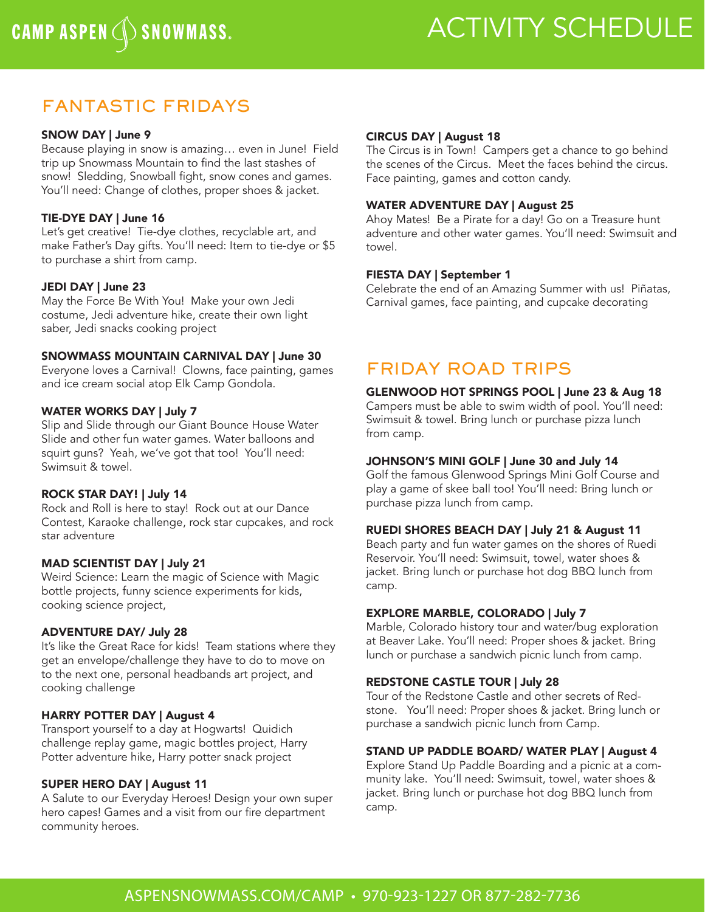# CAMP ASPEN (SINOWMASS. ACTIVITY SCHEDULE

# FANTASTIC FRIDAYS

### SNOW DAY | June 9

Because playing in snow is amazing… even in June! Field trip up Snowmass Mountain to find the last stashes of snow! Sledding, Snowball fight, snow cones and games. You'll need: Change of clothes, proper shoes & jacket.

### TIE-DYE DAY | June 16

Let's get creative! Tie-dye clothes, recyclable art, and make Father's Day gifts. You'll need: Item to tie-dye or \$5 to purchase a shirt from camp.

### JEDI DAY | June 23

May the Force Be With You! Make your own Jedi costume, Jedi adventure hike, create their own light saber, Jedi snacks cooking project

### SNOWMASS MOUNTAIN CARNIVAL DAY | June 30

Everyone loves a Carnival! Clowns, face painting, games and ice cream social atop Elk Camp Gondola.

### WATER WORKS DAY | July 7

Slip and Slide through our Giant Bounce House Water Slide and other fun water games. Water balloons and squirt guns? Yeah, we've got that too! You'll need: Swimsuit & towel.

### ROCK STAR DAY! | July 14

Rock and Roll is here to stay! Rock out at our Dance Contest, Karaoke challenge, rock star cupcakes, and rock star adventure

### MAD SCIENTIST DAY | July 21

Weird Science: Learn the magic of Science with Magic bottle projects, funny science experiments for kids, cooking science project,

### ADVENTURE DAY/ July 28

It's like the Great Race for kids! Team stations where they get an envelope/challenge they have to do to move on to the next one, personal headbands art project, and cooking challenge

### HARRY POTTER DAY | August 4

Transport yourself to a day at Hogwarts! Quidich challenge replay game, magic bottles project, Harry Potter adventure hike, Harry potter snack project

### SUPER HERO DAY | August 11

A Salute to our Everyday Heroes! Design your own super hero capes! Games and a visit from our fire department community heroes.

### CIRCUS DAY | August 18

The Circus is in Town! Campers get a chance to go behind the scenes of the Circus. Meet the faces behind the circus. Face painting, games and cotton candy.

### WATER ADVENTURE DAY | August 25

Ahoy Mates! Be a Pirate for a day! Go on a Treasure hunt adventure and other water games. You'll need: Swimsuit and towel.

### FIESTA DAY | September 1

Celebrate the end of an Amazing Summer with us! Piñatas, Carnival games, face painting, and cupcake decorating

# FRIDAY ROAD TRIPS

### GLENWOOD HOT SPRINGS POOL | June 23 & Aug 18

Campers must be able to swim width of pool. You'll need: Swimsuit & towel. Bring lunch or purchase pizza lunch from camp.

### JOHNSON'S MINI GOLF | June 30 and July 14

Golf the famous Glenwood Springs Mini Golf Course and play a game of skee ball too! You'll need: Bring lunch or purchase pizza lunch from camp.

### RUEDI SHORES BEACH DAY | July 21 & August 11

Beach party and fun water games on the shores of Ruedi Reservoir. You'll need: Swimsuit, towel, water shoes & jacket. Bring lunch or purchase hot dog BBQ lunch from camp.

### EXPLORE MARBLE, COLORADO | July 7

Marble, Colorado history tour and water/bug exploration at Beaver Lake. You'll need: Proper shoes & jacket. Bring lunch or purchase a sandwich picnic lunch from camp.

### REDSTONE CASTLE TOUR | July 28

Tour of the Redstone Castle and other secrets of Redstone. You'll need: Proper shoes & jacket. Bring lunch or purchase a sandwich picnic lunch from Camp.

### STAND UP PADDLE BOARD/ WATER PLAY | August 4

Explore Stand Up Paddle Boarding and a picnic at a community lake. You'll need: Swimsuit, towel, water shoes & jacket. Bring lunch or purchase hot dog BBQ lunch from camp.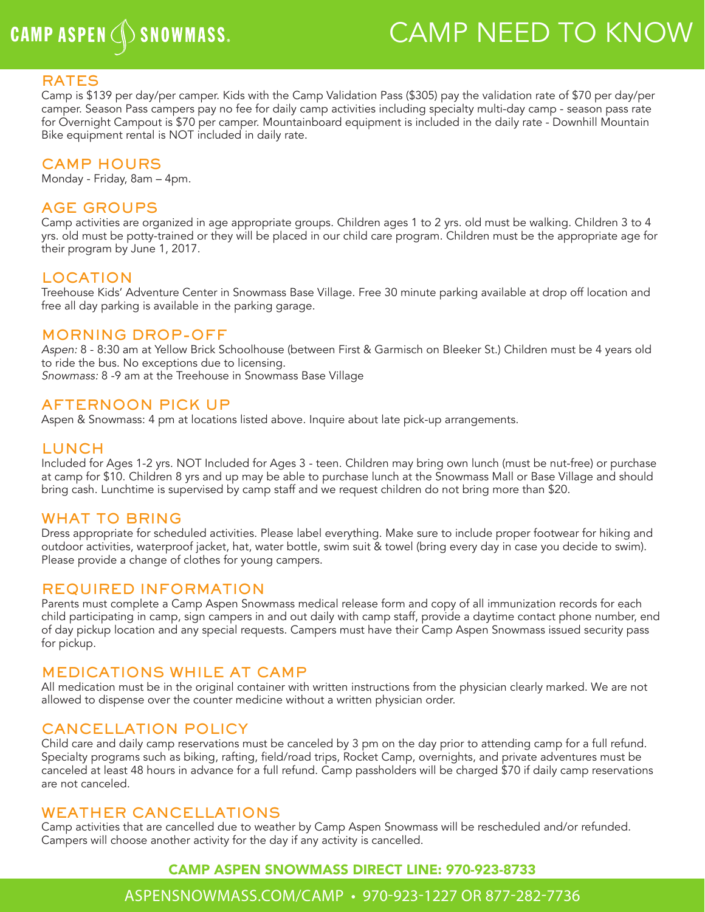# CAMP ASPEN (SINOWMASS. CAMP NEED TO KNOW

### RATES

Camp is \$139 per day/per camper. Kids with the Camp Validation Pass (\$305) pay the validation rate of \$70 per day/per camper. Season Pass campers pay no fee for daily camp activities including specialty multi-day camp - season pass rate for Overnight Campout is \$70 per camper. Mountainboard equipment is included in the daily rate - Downhill Mountain Bike equipment rental is NOT included in daily rate.

### CAMP HOURS

Monday - Friday, 8am – 4pm.

### AGE GROUPS

Camp activities are organized in age appropriate groups. Children ages 1 to 2 yrs. old must be walking. Children 3 to 4 yrs. old must be potty-trained or they will be placed in our child care program. Children must be the appropriate age for their program by June 1, 2017.

### LOCATION

Treehouse Kids' Adventure Center in Snowmass Base Village. Free 30 minute parking available at drop off location and free all day parking is available in the parking garage.

### MORNING DROP-OFF

*Aspen:* 8 - 8:30 am at Yellow Brick Schoolhouse (between First & Garmisch on Bleeker St.) Children must be 4 years old to ride the bus. No exceptions due to licensing. *Snowmass:* 8 -9 am at the Treehouse in Snowmass Base Village

### AFTERNOON PICK UP

Aspen & Snowmass: 4 pm at locations listed above. Inquire about late pick-up arrangements.

### LUNCH

Included for Ages 1-2 yrs. NOT Included for Ages 3 - teen. Children may bring own lunch (must be nut-free) or purchase at camp for \$10. Children 8 yrs and up may be able to purchase lunch at the Snowmass Mall or Base Village and should bring cash. Lunchtime is supervised by camp staff and we request children do not bring more than \$20.

### WHAT TO BRING

Dress appropriate for scheduled activities. Please label everything. Make sure to include proper footwear for hiking and outdoor activities, waterproof jacket, hat, water bottle, swim suit & towel (bring every day in case you decide to swim). Please provide a change of clothes for young campers.

### REQUIRED INFORMATION

Parents must complete a Camp Aspen Snowmass medical release form and copy of all immunization records for each child participating in camp, sign campers in and out daily with camp staff, provide a daytime contact phone number, end of day pickup location and any special requests. Campers must have their Camp Aspen Snowmass issued security pass for pickup.

### MEDICATIONS WHILE AT CAMP

All medication must be in the original container with written instructions from the physician clearly marked. We are not allowed to dispense over the counter medicine without a written physician order.

### CANCELLATION POLICY

Child care and daily camp reservations must be canceled by 3 pm on the day prior to attending camp for a full refund. Specialty programs such as biking, rafting, field/road trips, Rocket Camp, overnights, and private adventures must be canceled at least 48 hours in advance for a full refund. Camp passholders will be charged \$70 if daily camp reservations are not canceled.

### WEATHER CANCELLATIONS

Camp activities that are cancelled due to weather by Camp Aspen Snowmass will be rescheduled and/or refunded. Campers will choose another activity for the day if any activity is cancelled.

### CAMP ASPEN SNOWMASS DIRECT LINE: 970-923-8733